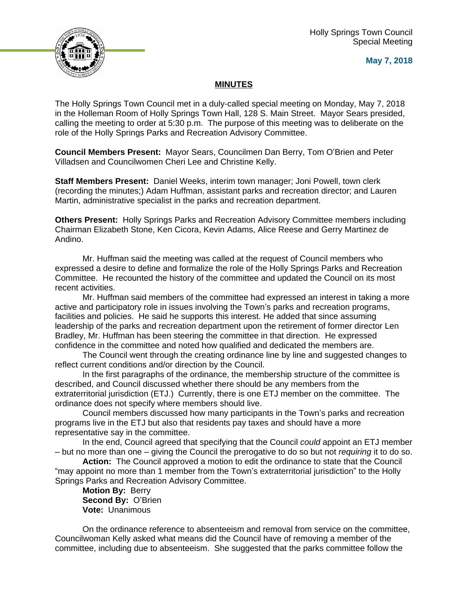

**May 7, 2018**

## **MINUTES**

The Holly Springs Town Council met in a duly-called special meeting on Monday, May 7, 2018 in the Holleman Room of Holly Springs Town Hall, 128 S. Main Street. Mayor Sears presided, calling the meeting to order at 5:30 p.m. The purpose of this meeting was to deliberate on the role of the Holly Springs Parks and Recreation Advisory Committee.

**Council Members Present:** Mayor Sears, Councilmen Dan Berry, Tom O'Brien and Peter Villadsen and Councilwomen Cheri Lee and Christine Kelly.

**Staff Members Present:** Daniel Weeks, interim town manager; Joni Powell, town clerk (recording the minutes;) Adam Huffman, assistant parks and recreation director; and Lauren Martin, administrative specialist in the parks and recreation department.

**Others Present:** Holly Springs Parks and Recreation Advisory Committee members including Chairman Elizabeth Stone, Ken Cicora, Kevin Adams, Alice Reese and Gerry Martinez de Andino.

Mr. Huffman said the meeting was called at the request of Council members who expressed a desire to define and formalize the role of the Holly Springs Parks and Recreation Committee. He recounted the history of the committee and updated the Council on its most recent activities.

Mr. Huffman said members of the committee had expressed an interest in taking a more active and participatory role in issues involving the Town's parks and recreation programs, facilities and policies. He said he supports this interest. He added that since assuming leadership of the parks and recreation department upon the retirement of former director Len Bradley, Mr. Huffman has been steering the committee in that direction. He expressed confidence in the committee and noted how qualified and dedicated the members are.

The Council went through the creating ordinance line by line and suggested changes to reflect current conditions and/or direction by the Council.

In the first paragraphs of the ordinance, the membership structure of the committee is described, and Council discussed whether there should be any members from the extraterritorial jurisdiction (ETJ.) Currently, there is one ETJ member on the committee. The ordinance does not specify where members should live.

Council members discussed how many participants in the Town's parks and recreation programs live in the ETJ but also that residents pay taxes and should have a more representative say in the committee.

In the end, Council agreed that specifying that the Council *could* appoint an ETJ member – but no more than one – giving the Council the prerogative to do so but not *requiring* it to do so.

**Action:** The Council approved a motion to edit the ordinance to state that the Council "may appoint no more than 1 member from the Town's extraterritorial jurisdiction" to the Holly Springs Parks and Recreation Advisory Committee.

**Motion By:** Berry **Second By:** O'Brien **Vote:** Unanimous

On the ordinance reference to absenteeism and removal from service on the committee, Councilwoman Kelly asked what means did the Council have of removing a member of the committee, including due to absenteeism. She suggested that the parks committee follow the